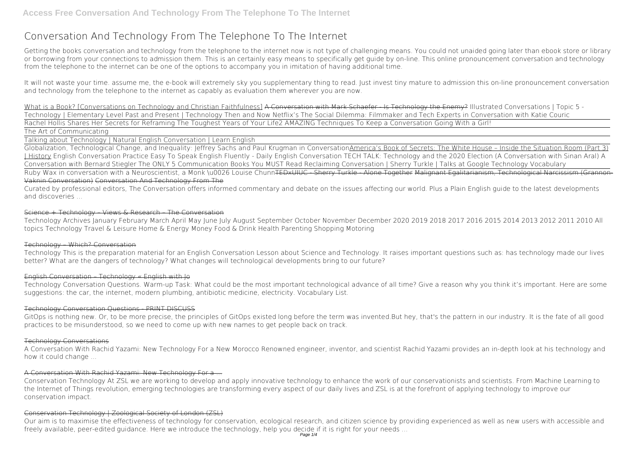# **Conversation And Technology From The Telephone To The Internet**

Getting the books **conversation and technology from the telephone to the internet** now is not type of challenging means. You could not unaided going later than ebook store or library or borrowing from your connections to admission them. This is an certainly easy means to specifically get guide by on-line. This online pronouncement conversation and technology from the telephone to the internet can be one of the options to accompany you in imitation of having additional time.

It will not waste your time. assume me, the e-book will extremely sky you supplementary thing to read. Just invest tiny mature to admission this on-line pronouncement **conversation and technology from the telephone to the internet** as capably as evaluation them wherever you are now.

Globalization, Technological Change, and Inequality: Jeffrey Sachs and Paul Krugman in ConversationAmerica's Book of Secrets: The White House - Inside the Situation Room (Part 3) | History *English Conversation Practice Easy To Speak English Fluently - Daily English Conversation TECH TALK: Technology and the 2020 Election (A Conversation with Sinan Aral)* **A Conversation with Bernard Stiegler** *The ONLY 5 Communication Books You MUST Read Reclaiming Conversation | Sherry Turkle | Talks at Google Technology Vocabulary* Ruby Wax in conversation with a Neuroscientist, a Monk \u0026 Louise Chunn<del>TEDxUIUC Sherry Turkle Alone Together Malignant Egalitarianism, Technological Narcissism (Grannon-</del> Vaknin Conversation) Conversation And Technology From The

What is a Book? [Conversations on Technology and Christian Faithfulness] A Conversation with Mark Schaefer - Is Technology the Enemy? **Illustrated Conversations | Topic 5 - Technology | Elementary Level** *Past and Present | Technology Then and Now Netflix's The Social Dilemma: Filmmaker and Tech Experts in Conversation with Katie Couric* Rachel Hollis Shares Her Secrets for Reframing The Toughest Years of Your Life*2 AMAZING Techniques To Keep a Conversation Going With a Girl!* The Art of Communicating

Talking about Technology | Natural English Conversation | Learn English

Curated by professional editors, The Conversation offers informed commentary and debate on the issues affecting our world. Plus a Plain English guide to the latest developments and discoveries ...

# Science + Technology – Views & Research – The Conversation

Technology Archives January February March April May June July August September October November December 2020 2019 2018 2017 2016 2015 2014 2013 2012 2011 2010 All topics Technology Travel & Leisure Home & Energy Money Food & Drink Health Parenting Shopping Motoring

# Technology – Which? Conversation

Technology This is the preparation material for an English Conversation Lesson about Science and Technology. It raises important questions such as: has technology made our lives better? What are the dangers of technology? What changes will technological developments bring to our future?

# English Conversation – Technology « English with Jo

Technology Conversation Questions. Warm-up Task: What could be the most important technological advance of all time? Give a reason why you think it's important. Here are some suggestions: the car, the internet, modern plumbing, antibiotic medicine, electricity. Vocabulary List.

# Technology Conversation Questions - PRINT DISCUSS

GitOps is nothing new. Or, to be more precise, the principles of GitOps existed long before the term was invented.But hey, that's the pattern in our industry. It is the fate of all good practices to be misunderstood, so we need to come up with new names to get people back on track.

# Technology Conversations

A Conversation With Rachid Yazami: New Technology For a New Morocco Renowned engineer, inventor, and scientist Rachid Yazami provides an in-depth look at his technology and how it could change ...

# A Conversation With Rachid Yazami: New Technology For a ...

Conservation Technology At ZSL we are working to develop and apply innovative technology to enhance the work of our conservationists and scientists. From Machine Learning to the Internet of Things revolution, emerging technologies are transforming every aspect of our daily lives and ZSL is at the forefront of applying technology to improve our conservation impact.

# Conservation Technology | Zoological Society of London (ZSL)

Our aim is to maximise the effectiveness of technology for conservation, ecological research, and citizen science by providing experienced as well as new users with accessible and freely available, peer-edited guidance. Here we introduce the technology, help you decide if it is right for your needs ...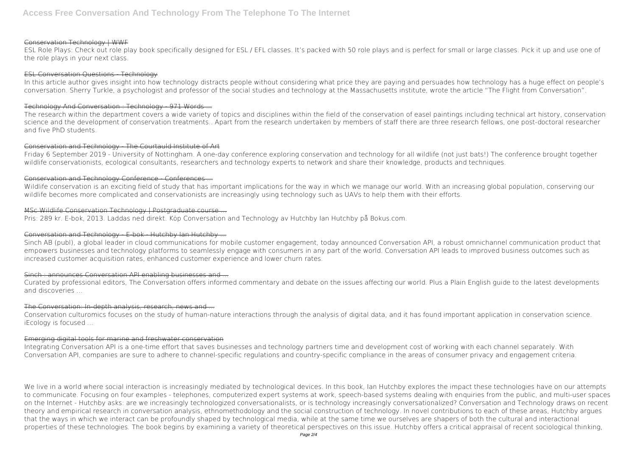# Conservation Technology | WWF

ESL Role Plays: Check out role play book specifically designed for ESL / EFL classes. It's packed with 50 role plays and is perfect for small or large classes. Pick it up and use one of the role plays in your next class.

#### ESL Conversation Questions - Technology

In this article author gives insight into how technology distracts people without considering what price they are paying and persuades how technology has a huge effect on people's conversation. Sherry Turkle, a psychologist and professor of the social studies and technology at the Massachusetts institute, wrote the article "The Flight from Conversation".

Friday 6 September 2019 - University of Nottingham. A one-day conference exploring conservation and technology for all wildlife (not just bats!) The conference brought together wildlife conservationists, ecological consultants, researchers and technology experts to network and share their knowledge, products and techniques.

# Conservation and Technology Conference - Conferences -

### Technology And Conversation : Technology - 971 Words ...

Wildlife conservation is an exciting field of study that has important implications for the way in which we manage our world. With an increasing global population, conserving our wildlife becomes more complicated and conservationists are increasingly using technology such as UAVs to help them with their efforts.

The research within the department covers a wide variety of topics and disciplines within the field of the conservation of easel paintings including technical art history, conservation science and the development of conservation treatments.. Apart from the research undertaken by members of staff there are three research fellows, one post-doctoral researcher and five PhD students.

#### Conservation and Technology - The Courtauld Institute of Art

#### MSc Wildlife Conservation Technology | Postgraduate course ...

Pris: 289 kr. E-bok, 2013. Laddas ned direkt. Köp Conversation and Technology av Hutchby Ian Hutchby på Bokus.com.

# Conversation and Technology E-bok Hutchby Ian Hutchby ...

We live in a world where social interaction is increasingly mediated by technological devices. In this book, Ian Hutchby explores the impact these technologies have on our attempts to communicate. Focusing on four examples - telephones, computerized expert systems at work, speech-based systems dealing with enquiries from the public, and multi-user spaces on the Internet - Hutchby asks: are we increasingly technologized conversationalists, or is technology increasingly conversationalized? Conversation and Technology draws on recent theory and empirical research in conversation analysis, ethnomethodology and the social construction of technology. In novel contributions to each of these areas, Hutchby argues that the ways in which we interact can be profoundly shaped by technological media, while at the same time we ourselves are shapers of both the cultural and interactional properties of these technologies. The book begins by examining a variety of theoretical perspectives on this issue. Hutchby offers a critical appraisal of recent sociological thinking,

Sinch AB (publ), a global leader in cloud communications for mobile customer engagement, today announced Conversation API, a robust omnichannel communication product that empowers businesses and technology platforms to seamlessly engage with consumers in any part of the world. Conversation API leads to improved business outcomes such as increased customer acquisition rates, enhanced customer experience and lower churn rates.

# $Sinch:$  announces Conversation API enabling businesses and  $-$

Curated by professional editors, The Conversation offers informed commentary and debate on the issues affecting our world. Plus a Plain English guide to the latest developments and discoveries ...

# The Conversation: In-depth analysis, research, news and ...

Conservation culturomics focuses on the study of human-nature interactions through the analysis of digital data, and it has found important application in conservation science. iEcology is focused ...

# Emerging digital tools for marine and freshwater conservation

Integrating Conversation API is a one-time effort that saves businesses and technology partners time and development cost of working with each channel separately. With Conversation API, companies are sure to adhere to channel-specific regulations and country-specific compliance in the areas of consumer privacy and engagement criteria.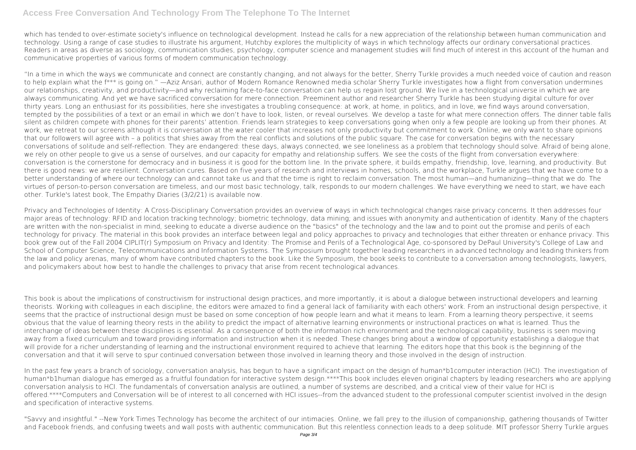# **Access Free Conversation And Technology From The Telephone To The Internet**

which has tended to over-estimate society's influence on technological development. Instead he calls for a new appreciation of the relationship between human communication and technology. Using a range of case studies to illustrate his argument, Hutchby explores the multiplicity of ways in which technology affects our ordinary conversational practices. Readers in areas as diverse as sociology, communication studies, psychology, computer science and management studies will find much of interest in this account of the human and communicative properties of various forms of modern communication technology.

"In a time in which the ways we communicate and connect are constantly changing, and not always for the better, Sherry Turkle provides a much needed voice of caution and reason to help explain what the f\*\*\* is going on." —Aziz Ansari, author of Modern Romance Renowned media scholar Sherry Turkle investigates how a flight from conversation undermines our relationships, creativity, and productivity—and why reclaiming face-to-face conversation can help us regain lost ground. We live in a technological universe in which we are always communicating. And yet we have sacrificed conversation for mere connection. Preeminent author and researcher Sherry Turkle has been studying digital culture for over thirty years. Long an enthusiast for its possibilities, here she investigates a troubling consequence: at work, at home, in politics, and in love, we find ways around conversation, tempted by the possibilities of a text or an email in which we don't have to look, listen, or reveal ourselves. We develop a taste for what mere connection offers. The dinner table falls silent as children compete with phones for their parents' attention. Friends learn strategies to keep conversations going when only a few people are looking up from their phones. At work, we retreat to our screens although it is conversation at the water cooler that increases not only productivity but commitment to work. Online, we only want to share opinions that our followers will agree with – a politics that shies away from the real conflicts and solutions of the public square. The case for conversation begins with the necessary conversations of solitude and self-reflection. They are endangered: these days, always connected, we see loneliness as a problem that technology should solve. Afraid of being alone, we rely on other people to give us a sense of ourselves, and our capacity for empathy and relationship suffers. We see the costs of the flight from conversation everywhere: conversation is the cornerstone for democracy and in business it is good for the bottom line. In the private sphere, it builds empathy, friendship, love, learning, and productivity. But there is good news: we are resilient. Conversation cures. Based on five years of research and interviews in homes, schools, and the workplace, Turkle argues that we have come to a better understanding of where our technology can and cannot take us and that the time is right to reclaim conversation. The most human—and humanizing—thing that we do. The virtues of person-to-person conversation are timeless, and our most basic technology, talk, responds to our modern challenges. We have everything we need to start, we have each other. Turkle's latest book, The Empathy Diaries (3/2/21) is available now.

In the past few years a branch of sociology, conversation analysis, has begun to have a significant impact on the design of human\*b1computer interaction (HCI). The investigation of human\*b1human dialogue has emerged as a fruitful foundation for interactive system design.\*\*\*\*This book includes eleven original chapters by leading researchers who are applying conversation analysis to HCI. The fundamentals of conversation analysis are outlined, a number of systems are described, and a critical view of their value for HCI is offered.\*\*\*\*Computers and Conversation will be of interest to all concerned with HCI issues--from the advanced student to the professional computer scientist involved in the design and specification of interactive systems.

Privacy and Technologies of Identity: A Cross-Disciplinary Conversation provides an overview of ways in which technological changes raise privacy concerns. It then addresses four major areas of technology: RFID and location tracking technology; biometric technology, data mining; and issues with anonymity and authentication of identity. Many of the chapters are written with the non-specialist in mind, seeking to educate a diverse audience on the "basics" of the technology and the law and to point out the promise and perils of each technology for privacy. The material in this book provides an interface between legal and policy approaches to privacy and technologies that either threaten or enhance privacy. This book grew out of the Fall 2004 CIPLIT(r) Symposium on Privacy and Identity: The Promise and Perils of a Technological Age, co-sponsored by DePaul University's College of Law and School of Computer Science, Telecommunications and Information Systems. The Symposium brought together leading researchers in advanced technology and leading thinkers from the law and policy arenas, many of whom have contributed chapters to the book. Like the Symposium, the book seeks to contribute to a conversation among technologists, lawyers, and policymakers about how best to handle the challenges to privacy that arise from recent technological advances.

This book is about the implications of constructivism for instructional design practices, and more importantly, it is about a dialogue between instructional developers and learning theorists. Working with colleagues in each discipline, the editors were amazed to find a general lack of familiarity with each others' work. From an instructional design perspective, it seems that the practice of instructional design must be based on some conception of how people learn and what it means to learn. From a learning theory perspective, it seems obvious that the value of learning theory rests in the ability to predict the impact of alternative learning environments or instructional practices on what is learned. Thus the interchange of ideas between these disciplines is essential. As a consequence of both the information rich environment and the technological capability, business is seen moving away from a fixed curriculum and toward providing information and instruction when it is needed. These changes bring about a window of opportunity establishing a dialogue that will provide for a richer understanding of learning and the instructional environment required to achieve that learning. The editors hope that this book is the beginning of the conversation and that it will serve to spur continued conversation between those involved in learning theory and those involved in the design of instruction.

"Savvy and insightful." --New York Times Technology has become the architect of our intimacies. Online, we fall prey to the illusion of companionship, gathering thousands of Twitter and Facebook friends, and confusing tweets and wall posts with authentic communication. But this relentless connection leads to a deep solitude. MIT professor Sherry Turkle argues